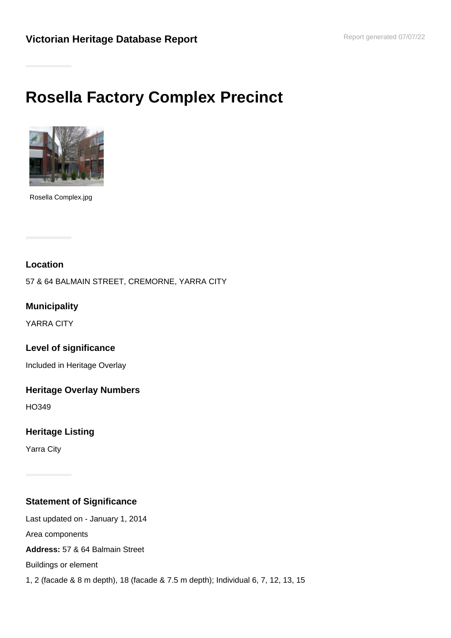# **Rosella Factory Complex Precinct**



Rosella Complex.jpg

# **Location**

57 & 64 BALMAIN STREET, CREMORNE, YARRA CITY

**Municipality**

YARRA CITY

**Level of significance**

Included in Heritage Overlay

**Heritage Overlay Numbers**

HO349

# **Heritage Listing**

Yarra City

# **Statement of Significance**

Last updated on - January 1, 2014 Area components **Address:** 57 & 64 Balmain Street Buildings or element 1, 2 (facade & 8 m depth), 18 (facade & 7.5 m depth); Individual 6, 7, 12, 13, 15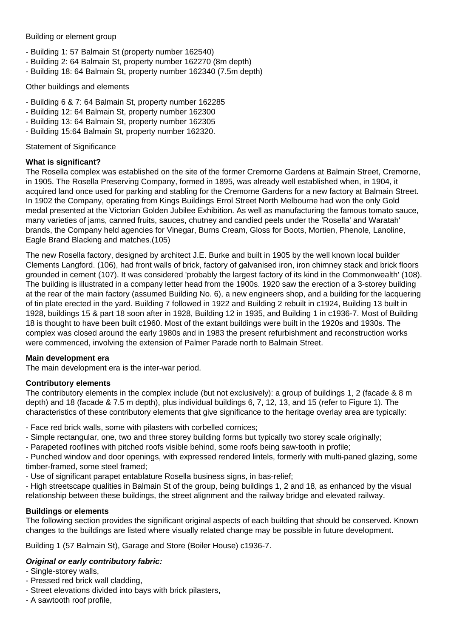#### Building or element group

- Building 1: 57 Balmain St (property number 162540)
- Building 2: 64 Balmain St, property number 162270 (8m depth)
- Building 18: 64 Balmain St, property number 162340 (7.5m depth)

#### Other buildings and elements

- Building 6 & 7: 64 Balmain St, property number 162285
- Building 12: 64 Balmain St, property number 162300
- Building 13: 64 Balmain St, property number 162305
- Building 15:64 Balmain St, property number 162320.

#### Statement of Significance

#### **What is significant?**

The Rosella complex was established on the site of the former Cremorne Gardens at Balmain Street, Cremorne, in 1905. The Rosella Preserving Company, formed in 1895, was already well established when, in 1904, it acquired land once used for parking and stabling for the Cremorne Gardens for a new factory at Balmain Street. In 1902 the Company, operating from Kings Buildings Errol Street North Melbourne had won the only Gold medal presented at the Victorian Golden Jubilee Exhibition. As well as manufacturing the famous tomato sauce, many varieties of jams, canned fruits, sauces, chutney and candied peels under the 'Rosella' and Waratah' brands, the Company held agencies for Vinegar, Burns Cream, Gloss for Boots, Mortien, Phenole, Lanoline, Eagle Brand Blacking and matches.(105)

The new Rosella factory, designed by architect J.E. Burke and built in 1905 by the well known local builder Clements Langford. (106), had front walls of brick, factory of galvanised iron, iron chimney stack and brick floors grounded in cement (107). It was considered 'probably the largest factory of its kind in the Commonwealth' (108). The building is illustrated in a company letter head from the 1900s. 1920 saw the erection of a 3-storey building at the rear of the main factory (assumed Building No. 6), a new engineers shop, and a building for the lacquering of tin plate erected in the yard. Building 7 followed in 1922 and Building 2 rebuilt in c1924, Building 13 built in 1928, buildings 15 & part 18 soon after in 1928, Building 12 in 1935, and Building 1 in c1936-7. Most of Building 18 is thought to have been built c1960. Most of the extant buildings were built in the 1920s and 1930s. The complex was closed around the early 1980s and in 1983 the present refurbishment and reconstruction works were commenced, involving the extension of Palmer Parade north to Balmain Street.

#### **Main development era**

The main development era is the inter-war period.

#### **Contributory elements**

The contributory elements in the complex include (but not exclusively): a group of buildings 1, 2 (facade & 8 m depth) and 18 (facade & 7.5 m depth), plus individual buildings 6, 7, 12, 13, and 15 (refer to Figure 1). The characteristics of these contributory elements that give significance to the heritage overlay area are typically:

- Face red brick walls, some with pilasters with corbelled cornices;

- Simple rectangular, one, two and three storey building forms but typically two storey scale originally;
- Parapeted rooflines with pitched roofs visible behind, some roofs being saw-tooth in profile;

- Punched window and door openings, with expressed rendered lintels, formerly with multi-paned glazing, some timber-framed, some steel framed;

- Use of significant parapet entablature Rosella business signs, in bas-relief;

- High streetscape qualities in Balmain St of the group, being buildings 1, 2 and 18, as enhanced by the visual relationship between these buildings, the street alignment and the railway bridge and elevated railway.

# **Buildings or elements**

The following section provides the significant original aspects of each building that should be conserved. Known changes to the buildings are listed where visually related change may be possible in future development.

Building 1 (57 Balmain St), Garage and Store (Boiler House) c1936-7.

# **Original or early contributory fabric:**

- Single-storey walls,
- Pressed red brick wall cladding,
- Street elevations divided into bays with brick pilasters,
- A sawtooth roof profile,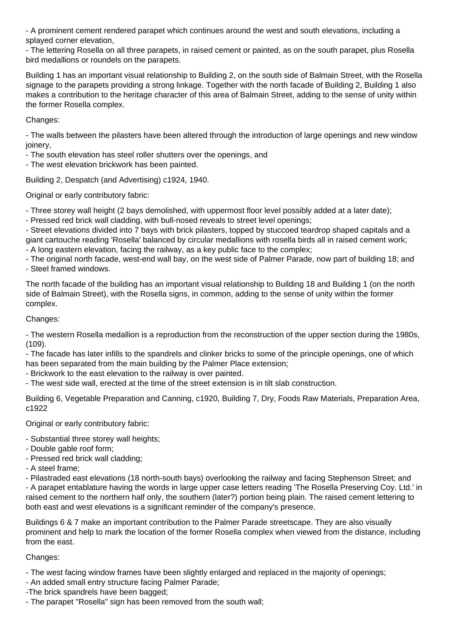- A prominent cement rendered parapet which continues around the west and south elevations, including a splayed corner elevation,

- The lettering Rosella on all three parapets, in raised cement or painted, as on the south parapet, plus Rosella bird medallions or roundels on the parapets.

Building 1 has an important visual relationship to Building 2, on the south side of Balmain Street, with the Rosella signage to the parapets providing a strong linkage. Together with the north facade of Building 2, Building 1 also makes a contribution to the heritage character of this area of Balmain Street, adding to the sense of unity within the former Rosella complex.

Changes:

- The walls between the pilasters have been altered through the introduction of large openings and new window joinery,

- The south elevation has steel roller shutters over the openings, and

- The west elevation brickwork has been painted.

Building 2, Despatch (and Advertising) c1924, 1940.

Original or early contributory fabric:

- Three storey wall height (2 bays demolished, with uppermost floor level possibly added at a later date);

- Pressed red brick wall cladding, with bull-nosed reveals to street level openings;

- Street elevations divided into 7 bays with brick pilasters, topped by stuccoed teardrop shaped capitals and a giant cartouche reading 'Rosella' balanced by circular medallions with rosella birds all in raised cement work; - A long eastern elevation, facing the railway, as a key public face to the complex;

- The original north facade, west-end wall bay, on the west side of Palmer Parade, now part of building 18; and - Steel framed windows.

The north facade of the building has an important visual relationship to Building 18 and Building 1 (on the north side of Balmain Street), with the Rosella signs, in common, adding to the sense of unity within the former complex.

Changes:

- The western Rosella medallion is a reproduction from the reconstruction of the upper section during the 1980s, (109).

- The facade has later infills to the spandrels and clinker bricks to some of the principle openings, one of which has been separated from the main building by the Palmer Place extension;

- Brickwork to the east elevation to the railway is over painted.

- The west side wall, erected at the time of the street extension is in tilt slab construction.

Building 6, Vegetable Preparation and Canning, c1920, Building 7, Dry, Foods Raw Materials, Preparation Area, c1922

Original or early contributory fabric:

- Substantial three storey wall heights;
- Double gable roof form;
- Pressed red brick wall cladding;
- A steel frame;

- Pilastraded east elevations (18 north-south bays) overlooking the railway and facing Stephenson Street; and

- A parapet entablature having the words in large upper case letters reading 'The Rosella Preserving Coy. Ltd.' in raised cement to the northern half only, the southern (later?) portion being plain. The raised cement lettering to both east and west elevations is a significant reminder of the company's presence.

Buildings 6 & 7 make an important contribution to the Palmer Parade streetscape. They are also visually prominent and help to mark the location of the former Rosella complex when viewed from the distance, including from the east.

Changes:

- The west facing window frames have been slightly enlarged and replaced in the majority of openings;
- An added small entry structure facing Palmer Parade;
- -The brick spandrels have been bagged;
- The parapet "Rosella" sign has been removed from the south wall;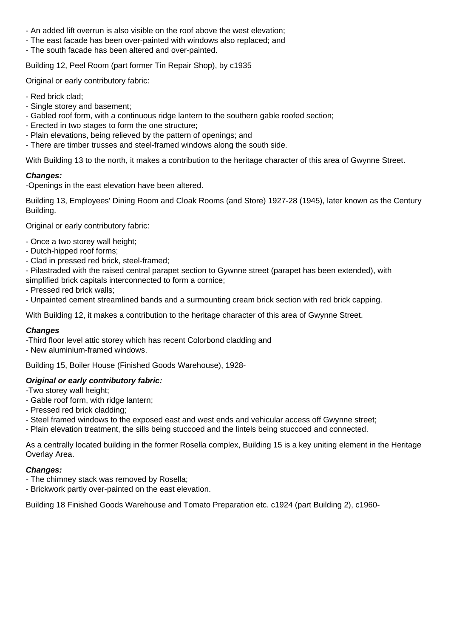- An added lift overrun is also visible on the roof above the west elevation;
- The east facade has been over-painted with windows also replaced; and
- The south facade has been altered and over-painted.

Building 12, Peel Room (part former Tin Repair Shop), by c1935

Original or early contributory fabric:

- Red brick clad;
- Single storey and basement;
- Gabled roof form, with a continuous ridge lantern to the southern gable roofed section;
- Erected in two stages to form the one structure;
- Plain elevations, being relieved by the pattern of openings; and
- There are timber trusses and steel-framed windows along the south side.

With Building 13 to the north, it makes a contribution to the heritage character of this area of Gwynne Street.

# **Changes:**

-Openings in the east elevation have been altered.

Building 13, Employees' Dining Room and Cloak Rooms (and Store) 1927-28 (1945), later known as the Century Building.

Original or early contributory fabric:

- Once a two storey wall height;
- Dutch-hipped roof forms;
- Clad in pressed red brick, steel-framed;
- Pilastraded with the raised central parapet section to Gywnne street (parapet has been extended), with
- simplified brick capitals interconnected to form a cornice;
- Pressed red brick walls;
- Unpainted cement streamlined bands and a surmounting cream brick section with red brick capping.

With Building 12, it makes a contribution to the heritage character of this area of Gwynne Street.

# **Changes**

-Third floor level attic storey which has recent Colorbond cladding and

- New aluminium-framed windows.

Building 15, Boiler House (Finished Goods Warehouse), 1928-

# **Original or early contributory fabric:**

-Two storey wall height;

- Gable roof form, with ridge lantern;
- Pressed red brick cladding;
- Steel framed windows to the exposed east and west ends and vehicular access off Gwynne street;
- Plain elevation treatment, the sills being stuccoed and the lintels being stuccoed and connected.

As a centrally located building in the former Rosella complex, Building 15 is a key uniting element in the Heritage Overlay Area.

# **Changes:**

- The chimney stack was removed by Rosella;
- Brickwork partly over-painted on the east elevation.

Building 18 Finished Goods Warehouse and Tomato Preparation etc. c1924 (part Building 2), c1960-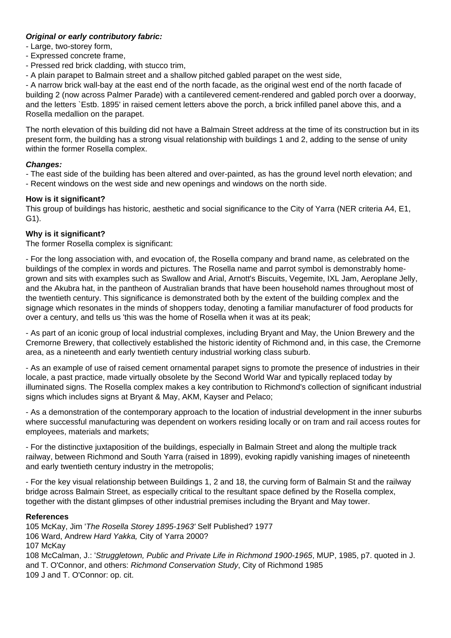# **Original or early contributory fabric:**

- Large, two-storey form,

- Expressed concrete frame,
- Pressed red brick cladding, with stucco trim,
- A plain parapet to Balmain street and a shallow pitched gabled parapet on the west side,

- A narrow brick wall-bay at the east end of the north facade, as the original west end of the north facade of building 2 (now across Palmer Parade) with a cantilevered cement-rendered and gabled porch over a doorway, and the letters `Estb. 1895' in raised cement letters above the porch, a brick infilled panel above this, and a Rosella medallion on the parapet.

The north elevation of this building did not have a Balmain Street address at the time of its construction but in its present form, the building has a strong visual relationship with buildings 1 and 2, adding to the sense of unity within the former Rosella complex.

# **Changes:**

- The east side of the building has been altered and over-painted, as has the ground level north elevation; and - Recent windows on the west side and new openings and windows on the north side.

#### **How is it significant?**

This group of buildings has historic, aesthetic and social significance to the City of Yarra (NER criteria A4, E1, G1).

#### **Why is it significant?**

The former Rosella complex is significant:

- For the long association with, and evocation of, the Rosella company and brand name, as celebrated on the buildings of the complex in words and pictures. The Rosella name and parrot symbol is demonstrably homegrown and sits with examples such as Swallow and Arial, Arnott's Biscuits, Vegemite, IXL Jam, Aeroplane Jelly, and the Akubra hat, in the pantheon of Australian brands that have been household names throughout most of the twentieth century. This significance is demonstrated both by the extent of the building complex and the signage which resonates in the minds of shoppers today, denoting a familiar manufacturer of food products for over a century, and tells us 'this was the home of Rosella when it was at its peak;

- As part of an iconic group of local industrial complexes, including Bryant and May, the Union Brewery and the Cremorne Brewery, that collectively established the historic identity of Richmond and, in this case, the Cremorne area, as a nineteenth and early twentieth century industrial working class suburb.

- As an example of use of raised cement ornamental parapet signs to promote the presence of industries in their locale, a past practice, made virtually obsolete by the Second World War and typically replaced today by illuminated signs. The Rosella complex makes a key contribution to Richmond's collection of significant industrial signs which includes signs at Bryant & May, AKM, Kayser and Pelaco;

- As a demonstration of the contemporary approach to the location of industrial development in the inner suburbs where successful manufacturing was dependent on workers residing locally or on tram and rail access routes for employees, materials and markets;

- For the distinctive juxtaposition of the buildings, especially in Balmain Street and along the multiple track railway, between Richmond and South Yarra (raised in 1899), evoking rapidly vanishing images of nineteenth and early twentieth century industry in the metropolis;

- For the key visual relationship between Buildings 1, 2 and 18, the curving form of Balmain St and the railway bridge across Balmain Street, as especially critical to the resultant space defined by the Rosella complex, together with the distant glimpses of other industrial premises including the Bryant and May tower.

#### **References**

105 McKay, Jim 'The Rosella Storey 1895-1963' Self Published? 1977 106 Ward, Andrew Hard Yakka, City of Yarra 2000? 107 McKay 108 McCalman, J.: 'Struggletown, Public and Private Life in Richmond 1900-1965, MUP, 1985, p7. quoted in J. and T. O'Connor, and others: Richmond Conservation Study, City of Richmond 1985 109 J and T. O'Connor: op. cit.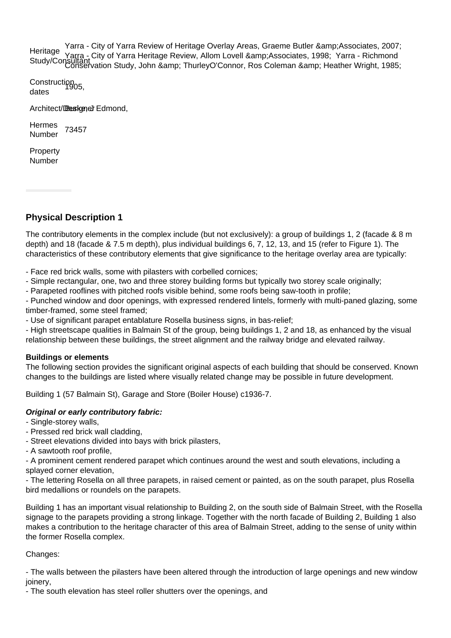Heritage Nomayo Yarra - City of Yarra Heritage Review, Allom Lovell & Associates, 1998; Yarra - Richmond<br>Study/Consultant, otion Study, John Samp; ThurlouQ'Canner, Bee Coleman Samp; Usether Wright, 1996 Yarra - City of Yarra Review of Heritage Overlay Areas, Graeme Butler & Associates, 2007; Conservation Study, John & amp; ThurleyO'Connor, Ros Coleman & amp; Heather Wright, 1985;

Construction<br>dates

Architect/Designer Edmond,

Hermes nemies<br>Number 73457

Property Number

# **Physical Description 1**

The contributory elements in the complex include (but not exclusively): a group of buildings 1, 2 (facade & 8 m depth) and 18 (facade & 7.5 m depth), plus individual buildings 6, 7, 12, 13, and 15 (refer to Figure 1). The characteristics of these contributory elements that give significance to the heritage overlay area are typically:

- Face red brick walls, some with pilasters with corbelled cornices;

- Simple rectangular, one, two and three storey building forms but typically two storey scale originally;

- Parapeted rooflines with pitched roofs visible behind, some roofs being saw-tooth in profile;

- Punched window and door openings, with expressed rendered lintels, formerly with multi-paned glazing, some timber-framed, some steel framed;

- Use of significant parapet entablature Rosella business signs, in bas-relief;

- High streetscape qualities in Balmain St of the group, being buildings 1, 2 and 18, as enhanced by the visual relationship between these buildings, the street alignment and the railway bridge and elevated railway.

# **Buildings or elements**

The following section provides the significant original aspects of each building that should be conserved. Known changes to the buildings are listed where visually related change may be possible in future development.

Building 1 (57 Balmain St), Garage and Store (Boiler House) c1936-7.

# **Original or early contributory fabric:**

- Single-storey walls,

- Pressed red brick wall cladding,

- Street elevations divided into bays with brick pilasters,

- A sawtooth roof profile,

- A prominent cement rendered parapet which continues around the west and south elevations, including a splayed corner elevation,

- The lettering Rosella on all three parapets, in raised cement or painted, as on the south parapet, plus Rosella bird medallions or roundels on the parapets.

Building 1 has an important visual relationship to Building 2, on the south side of Balmain Street, with the Rosella signage to the parapets providing a strong linkage. Together with the north facade of Building 2, Building 1 also makes a contribution to the heritage character of this area of Balmain Street, adding to the sense of unity within the former Rosella complex.

# Changes:

- The walls between the pilasters have been altered through the introduction of large openings and new window joinery,

- The south elevation has steel roller shutters over the openings, and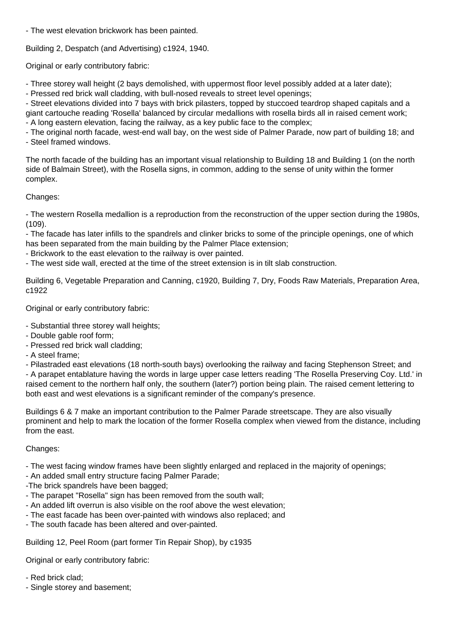- The west elevation brickwork has been painted.

Building 2, Despatch (and Advertising) c1924, 1940.

Original or early contributory fabric:

- Three storey wall height (2 bays demolished, with uppermost floor level possibly added at a later date);

- Pressed red brick wall cladding, with bull-nosed reveals to street level openings;

- Street elevations divided into 7 bays with brick pilasters, topped by stuccoed teardrop shaped capitals and a giant cartouche reading 'Rosella' balanced by circular medallions with rosella birds all in raised cement work; - A long eastern elevation, facing the railway, as a key public face to the complex;

- The original north facade, west-end wall bay, on the west side of Palmer Parade, now part of building 18; and - Steel framed windows.

The north facade of the building has an important visual relationship to Building 18 and Building 1 (on the north side of Balmain Street), with the Rosella signs, in common, adding to the sense of unity within the former complex.

# Changes:

- The western Rosella medallion is a reproduction from the reconstruction of the upper section during the 1980s, (109).

- The facade has later infills to the spandrels and clinker bricks to some of the principle openings, one of which has been separated from the main building by the Palmer Place extension;

- Brickwork to the east elevation to the railway is over painted.

- The west side wall, erected at the time of the street extension is in tilt slab construction.

Building 6, Vegetable Preparation and Canning, c1920, Building 7, Dry, Foods Raw Materials, Preparation Area, c1922

Original or early contributory fabric:

- Substantial three storey wall heights;

- Double gable roof form;
- Pressed red brick wall cladding;
- A steel frame;

- Pilastraded east elevations (18 north-south bays) overlooking the railway and facing Stephenson Street; and

- A parapet entablature having the words in large upper case letters reading 'The Rosella Preserving Coy. Ltd.' in raised cement to the northern half only, the southern (later?) portion being plain. The raised cement lettering to both east and west elevations is a significant reminder of the company's presence.

Buildings 6 & 7 make an important contribution to the Palmer Parade streetscape. They are also visually prominent and help to mark the location of the former Rosella complex when viewed from the distance, including from the east.

# Changes:

- The west facing window frames have been slightly enlarged and replaced in the majority of openings;

- An added small entry structure facing Palmer Parade;
- -The brick spandrels have been bagged;
- The parapet "Rosella" sign has been removed from the south wall;
- An added lift overrun is also visible on the roof above the west elevation;
- The east facade has been over-painted with windows also replaced; and
- The south facade has been altered and over-painted.

Building 12, Peel Room (part former Tin Repair Shop), by c1935

Original or early contributory fabric:

- Red brick clad;
- Single storey and basement;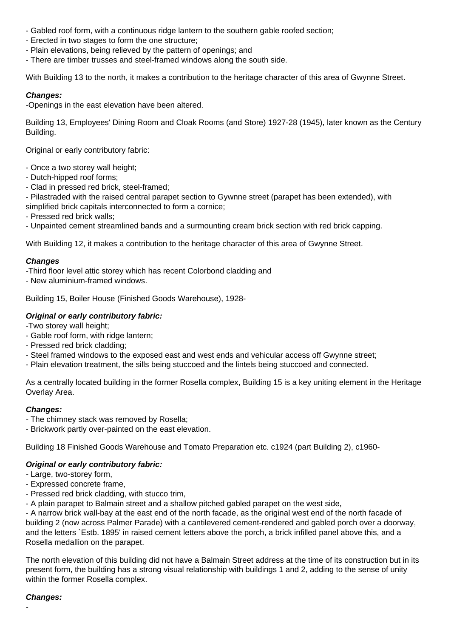- Gabled roof form, with a continuous ridge lantern to the southern gable roofed section;
- Erected in two stages to form the one structure;
- Plain elevations, being relieved by the pattern of openings; and
- There are timber trusses and steel-framed windows along the south side.

With Building 13 to the north, it makes a contribution to the heritage character of this area of Gwynne Street.

#### **Changes:**

-Openings in the east elevation have been altered.

Building 13, Employees' Dining Room and Cloak Rooms (and Store) 1927-28 (1945), later known as the Century Building.

Original or early contributory fabric:

- Once a two storey wall height;

- Dutch-hipped roof forms;
- Clad in pressed red brick, steel-framed;

- Pilastraded with the raised central parapet section to Gywnne street (parapet has been extended), with simplified brick capitals interconnected to form a cornice;

- Pressed red brick walls;

- Unpainted cement streamlined bands and a surmounting cream brick section with red brick capping.

With Building 12, it makes a contribution to the heritage character of this area of Gwynne Street.

#### **Changes**

-Third floor level attic storey which has recent Colorbond cladding and

- New aluminium-framed windows.

Building 15, Boiler House (Finished Goods Warehouse), 1928-

# **Original or early contributory fabric:**

-Two storey wall height;

- Gable roof form, with ridge lantern;
- Pressed red brick cladding;
- Steel framed windows to the exposed east and west ends and vehicular access off Gwynne street;
- Plain elevation treatment, the sills being stuccoed and the lintels being stuccoed and connected.

As a centrally located building in the former Rosella complex, Building 15 is a key uniting element in the Heritage Overlay Area.

#### **Changes:**

- The chimney stack was removed by Rosella;
- Brickwork partly over-painted on the east elevation.

Building 18 Finished Goods Warehouse and Tomato Preparation etc. c1924 (part Building 2), c1960-

#### **Original or early contributory fabric:**

- Large, two-storey form,

- Expressed concrete frame,
- Pressed red brick cladding, with stucco trim,
- A plain parapet to Balmain street and a shallow pitched gabled parapet on the west side,

- A narrow brick wall-bay at the east end of the north facade, as the original west end of the north facade of building 2 (now across Palmer Parade) with a cantilevered cement-rendered and gabled porch over a doorway, and the letters `Estb. 1895' in raised cement letters above the porch, a brick infilled panel above this, and a Rosella medallion on the parapet.

The north elevation of this building did not have a Balmain Street address at the time of its construction but in its present form, the building has a strong visual relationship with buildings 1 and 2, adding to the sense of unity within the former Rosella complex.

# **Changes:**